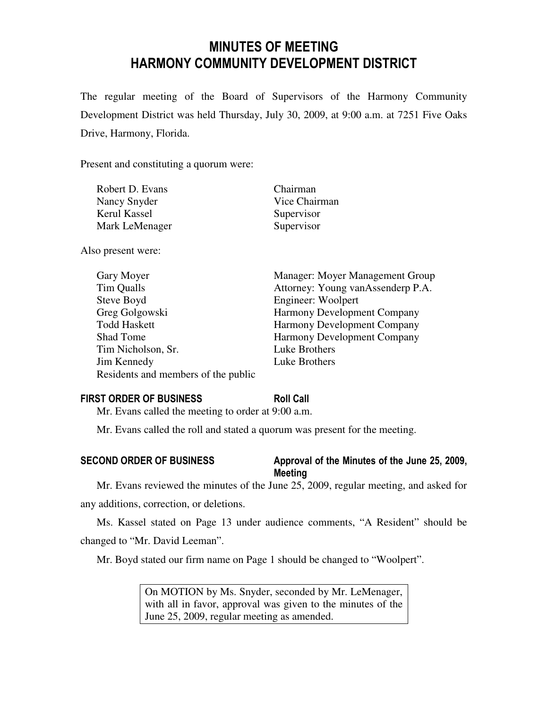# MINUTES OF MEETING HARMONY COMMUNITY DEVELOPMENT DISTRICT

The regular meeting of the Board of Supervisors of the Harmony Community Development District was held Thursday, July 30, 2009, at 9:00 a.m. at 7251 Five Oaks Drive, Harmony, Florida.

Present and constituting a quorum were:

| Robert D. Evans | Chairman      |
|-----------------|---------------|
| Nancy Snyder    | Vice Chairman |
| Kerul Kassel    | Supervisor    |
| Mark LeMenager  | Supervisor    |

Also present were:

| Gary Moyer                          | Manager: Moyer Management Group    |
|-------------------------------------|------------------------------------|
| Tim Qualls                          | Attorney: Young vanAssenderp P.A.  |
| Steve Boyd                          | Engineer: Woolpert                 |
| Greg Golgowski                      | Harmony Development Company        |
| <b>Todd Haskett</b>                 | <b>Harmony Development Company</b> |
| <b>Shad Tome</b>                    | <b>Harmony Development Company</b> |
| Tim Nicholson, Sr.                  | Luke Brothers                      |
| Jim Kennedy                         | Luke Brothers                      |
| Residents and members of the public |                                    |

#### FIRST ORDER OF BUSINESS Roll Call

Mr. Evans called the meeting to order at 9:00 a.m.

Mr. Evans called the roll and stated a quorum was present for the meeting.

### SECOND ORDER OF BUSINESS Approval of the Minutes of the June 25, 2009, Meeting

Mr. Evans reviewed the minutes of the June 25, 2009, regular meeting, and asked for any additions, correction, or deletions.

Ms. Kassel stated on Page 13 under audience comments, "A Resident" should be changed to "Mr. David Leeman".

Mr. Boyd stated our firm name on Page 1 should be changed to "Woolpert".

On MOTION by Ms. Snyder, seconded by Mr. LeMenager, with all in favor, approval was given to the minutes of the June 25, 2009, regular meeting as amended.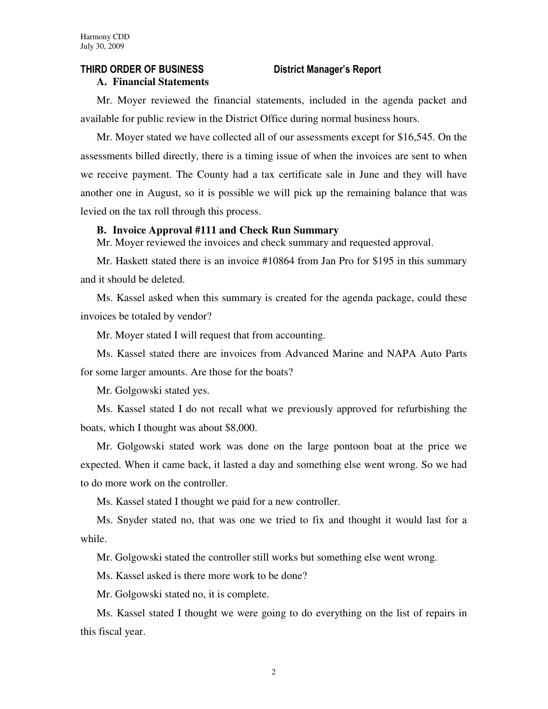### THIRD ORDER OF BUSINESS District Manager's Report

#### **A. Financial Statements**

Mr. Moyer reviewed the financial statements, included in the agenda packet and available for public review in the District Office during normal business hours.

Mr. Moyer stated we have collected all of our assessments except for \$16,545. On the assessments billed directly, there is a timing issue of when the invoices are sent to when we receive payment. The County had a tax certificate sale in June and they will have another one in August, so it is possible we will pick up the remaining balance that was levied on the tax roll through this process.

#### **B. Invoice Approval #111 and Check Run Summary**

Mr. Moyer reviewed the invoices and check summary and requested approval.

Mr. Haskett stated there is an invoice #10864 from Jan Pro for \$195 in this summary and it should be deleted.

Ms. Kassel asked when this summary is created for the agenda package, could these invoices be totaled by vendor?

Mr. Moyer stated I will request that from accounting.

Ms. Kassel stated there are invoices from Advanced Marine and NAPA Auto Parts for some larger amounts. Are those for the boats?

Mr. Golgowski stated yes.

Ms. Kassel stated I do not recall what we previously approved for refurbishing the boats, which I thought was about \$8,000.

Mr. Golgowski stated work was done on the large pontoon boat at the price we expected. When it came back, it lasted a day and something else went wrong. So we had to do more work on the controller.

Ms. Kassel stated I thought we paid for a new controller.

Ms. Snyder stated no, that was one we tried to fix and thought it would last for a while.

Mr. Golgowski stated the controller still works but something else went wrong.

Ms. Kassel asked is there more work to be done?

Mr. Golgowski stated no, it is complete.

Ms. Kassel stated I thought we were going to do everything on the list of repairs in this fiscal year.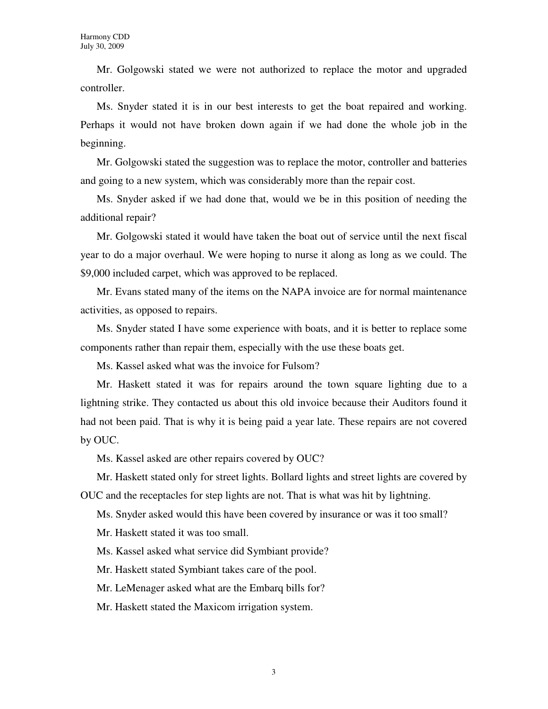Mr. Golgowski stated we were not authorized to replace the motor and upgraded controller.

Ms. Snyder stated it is in our best interests to get the boat repaired and working. Perhaps it would not have broken down again if we had done the whole job in the beginning.

Mr. Golgowski stated the suggestion was to replace the motor, controller and batteries and going to a new system, which was considerably more than the repair cost.

Ms. Snyder asked if we had done that, would we be in this position of needing the additional repair?

Mr. Golgowski stated it would have taken the boat out of service until the next fiscal year to do a major overhaul. We were hoping to nurse it along as long as we could. The \$9,000 included carpet, which was approved to be replaced.

Mr. Evans stated many of the items on the NAPA invoice are for normal maintenance activities, as opposed to repairs.

Ms. Snyder stated I have some experience with boats, and it is better to replace some components rather than repair them, especially with the use these boats get.

Ms. Kassel asked what was the invoice for Fulsom?

Mr. Haskett stated it was for repairs around the town square lighting due to a lightning strike. They contacted us about this old invoice because their Auditors found it had not been paid. That is why it is being paid a year late. These repairs are not covered by OUC.

Ms. Kassel asked are other repairs covered by OUC?

Mr. Haskett stated only for street lights. Bollard lights and street lights are covered by OUC and the receptacles for step lights are not. That is what was hit by lightning.

Ms. Snyder asked would this have been covered by insurance or was it too small?

Mr. Haskett stated it was too small.

Ms. Kassel asked what service did Symbiant provide?

Mr. Haskett stated Symbiant takes care of the pool.

Mr. LeMenager asked what are the Embarq bills for?

Mr. Haskett stated the Maxicom irrigation system.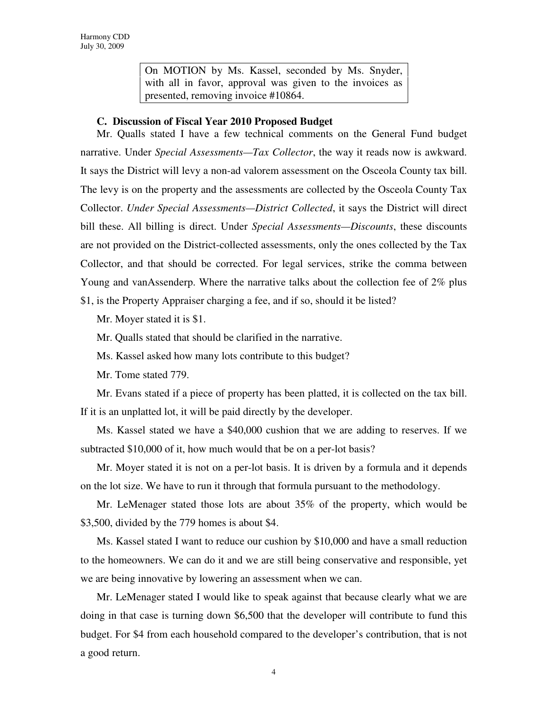On MOTION by Ms. Kassel, seconded by Ms. Snyder, with all in favor, approval was given to the invoices as presented, removing invoice #10864.

#### **C. Discussion of Fiscal Year 2010 Proposed Budget**

Mr. Qualls stated I have a few technical comments on the General Fund budget narrative. Under *Special Assessments—Tax Collector*, the way it reads now is awkward. It says the District will levy a non-ad valorem assessment on the Osceola County tax bill. The levy is on the property and the assessments are collected by the Osceola County Tax Collector. *Under Special Assessments—District Collected*, it says the District will direct bill these. All billing is direct. Under *Special Assessments—Discounts*, these discounts are not provided on the District-collected assessments, only the ones collected by the Tax Collector, and that should be corrected. For legal services, strike the comma between Young and vanAssenderp. Where the narrative talks about the collection fee of 2% plus

\$1, is the Property Appraiser charging a fee, and if so, should it be listed?

Mr. Moyer stated it is \$1.

Mr. Qualls stated that should be clarified in the narrative.

Ms. Kassel asked how many lots contribute to this budget?

Mr. Tome stated 779.

Mr. Evans stated if a piece of property has been platted, it is collected on the tax bill. If it is an unplatted lot, it will be paid directly by the developer.

Ms. Kassel stated we have a \$40,000 cushion that we are adding to reserves. If we subtracted \$10,000 of it, how much would that be on a per-lot basis?

Mr. Moyer stated it is not on a per-lot basis. It is driven by a formula and it depends on the lot size. We have to run it through that formula pursuant to the methodology.

Mr. LeMenager stated those lots are about 35% of the property, which would be \$3,500, divided by the 779 homes is about \$4.

Ms. Kassel stated I want to reduce our cushion by \$10,000 and have a small reduction to the homeowners. We can do it and we are still being conservative and responsible, yet we are being innovative by lowering an assessment when we can.

Mr. LeMenager stated I would like to speak against that because clearly what we are doing in that case is turning down \$6,500 that the developer will contribute to fund this budget. For \$4 from each household compared to the developer's contribution, that is not a good return.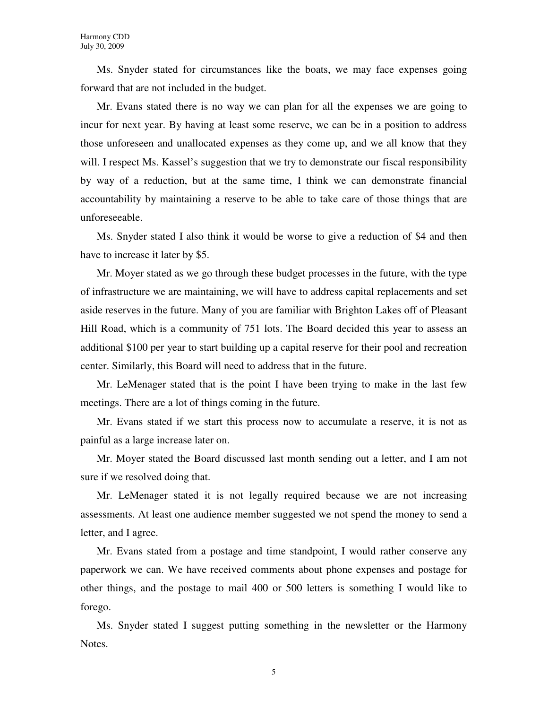Ms. Snyder stated for circumstances like the boats, we may face expenses going forward that are not included in the budget.

Mr. Evans stated there is no way we can plan for all the expenses we are going to incur for next year. By having at least some reserve, we can be in a position to address those unforeseen and unallocated expenses as they come up, and we all know that they will. I respect Ms. Kassel's suggestion that we try to demonstrate our fiscal responsibility by way of a reduction, but at the same time, I think we can demonstrate financial accountability by maintaining a reserve to be able to take care of those things that are unforeseeable.

Ms. Snyder stated I also think it would be worse to give a reduction of \$4 and then have to increase it later by \$5.

Mr. Moyer stated as we go through these budget processes in the future, with the type of infrastructure we are maintaining, we will have to address capital replacements and set aside reserves in the future. Many of you are familiar with Brighton Lakes off of Pleasant Hill Road, which is a community of 751 lots. The Board decided this year to assess an additional \$100 per year to start building up a capital reserve for their pool and recreation center. Similarly, this Board will need to address that in the future.

Mr. LeMenager stated that is the point I have been trying to make in the last few meetings. There are a lot of things coming in the future.

Mr. Evans stated if we start this process now to accumulate a reserve, it is not as painful as a large increase later on.

Mr. Moyer stated the Board discussed last month sending out a letter, and I am not sure if we resolved doing that.

Mr. LeMenager stated it is not legally required because we are not increasing assessments. At least one audience member suggested we not spend the money to send a letter, and I agree.

Mr. Evans stated from a postage and time standpoint, I would rather conserve any paperwork we can. We have received comments about phone expenses and postage for other things, and the postage to mail 400 or 500 letters is something I would like to forego.

Ms. Snyder stated I suggest putting something in the newsletter or the Harmony Notes.

5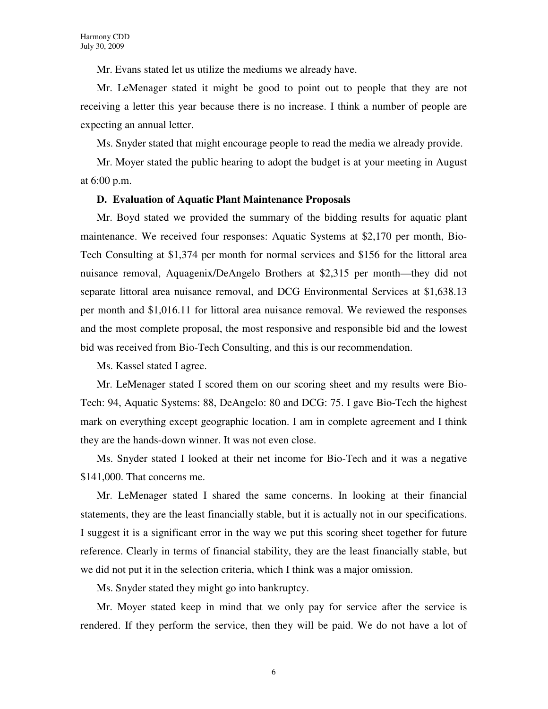Mr. Evans stated let us utilize the mediums we already have.

Mr. LeMenager stated it might be good to point out to people that they are not receiving a letter this year because there is no increase. I think a number of people are expecting an annual letter.

Ms. Snyder stated that might encourage people to read the media we already provide.

Mr. Moyer stated the public hearing to adopt the budget is at your meeting in August at 6:00 p.m.

#### **D. Evaluation of Aquatic Plant Maintenance Proposals**

Mr. Boyd stated we provided the summary of the bidding results for aquatic plant maintenance. We received four responses: Aquatic Systems at \$2,170 per month, Bio-Tech Consulting at \$1,374 per month for normal services and \$156 for the littoral area nuisance removal, Aquagenix/DeAngelo Brothers at \$2,315 per month—they did not separate littoral area nuisance removal, and DCG Environmental Services at \$1,638.13 per month and \$1,016.11 for littoral area nuisance removal. We reviewed the responses and the most complete proposal, the most responsive and responsible bid and the lowest bid was received from Bio-Tech Consulting, and this is our recommendation.

Ms. Kassel stated I agree.

Mr. LeMenager stated I scored them on our scoring sheet and my results were Bio-Tech: 94, Aquatic Systems: 88, DeAngelo: 80 and DCG: 75. I gave Bio-Tech the highest mark on everything except geographic location. I am in complete agreement and I think they are the hands-down winner. It was not even close.

Ms. Snyder stated I looked at their net income for Bio-Tech and it was a negative \$141,000. That concerns me.

Mr. LeMenager stated I shared the same concerns. In looking at their financial statements, they are the least financially stable, but it is actually not in our specifications. I suggest it is a significant error in the way we put this scoring sheet together for future reference. Clearly in terms of financial stability, they are the least financially stable, but we did not put it in the selection criteria, which I think was a major omission.

Ms. Snyder stated they might go into bankruptcy.

Mr. Moyer stated keep in mind that we only pay for service after the service is rendered. If they perform the service, then they will be paid. We do not have a lot of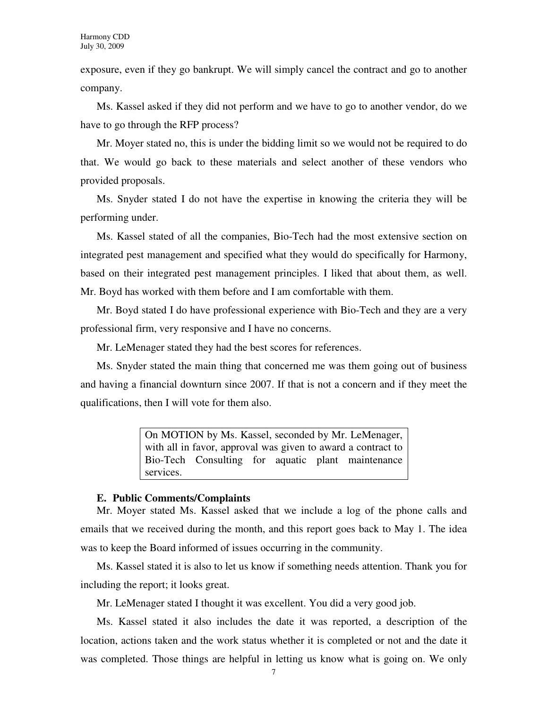exposure, even if they go bankrupt. We will simply cancel the contract and go to another company.

Ms. Kassel asked if they did not perform and we have to go to another vendor, do we have to go through the RFP process?

Mr. Moyer stated no, this is under the bidding limit so we would not be required to do that. We would go back to these materials and select another of these vendors who provided proposals.

Ms. Snyder stated I do not have the expertise in knowing the criteria they will be performing under.

Ms. Kassel stated of all the companies, Bio-Tech had the most extensive section on integrated pest management and specified what they would do specifically for Harmony, based on their integrated pest management principles. I liked that about them, as well. Mr. Boyd has worked with them before and I am comfortable with them.

Mr. Boyd stated I do have professional experience with Bio-Tech and they are a very professional firm, very responsive and I have no concerns.

Mr. LeMenager stated they had the best scores for references.

Ms. Snyder stated the main thing that concerned me was them going out of business and having a financial downturn since 2007. If that is not a concern and if they meet the qualifications, then I will vote for them also.

> On MOTION by Ms. Kassel, seconded by Mr. LeMenager, with all in favor, approval was given to award a contract to Bio-Tech Consulting for aquatic plant maintenance services.

#### **E. Public Comments/Complaints**

Mr. Moyer stated Ms. Kassel asked that we include a log of the phone calls and emails that we received during the month, and this report goes back to May 1. The idea was to keep the Board informed of issues occurring in the community.

Ms. Kassel stated it is also to let us know if something needs attention. Thank you for including the report; it looks great.

Mr. LeMenager stated I thought it was excellent. You did a very good job.

Ms. Kassel stated it also includes the date it was reported, a description of the location, actions taken and the work status whether it is completed or not and the date it was completed. Those things are helpful in letting us know what is going on. We only

7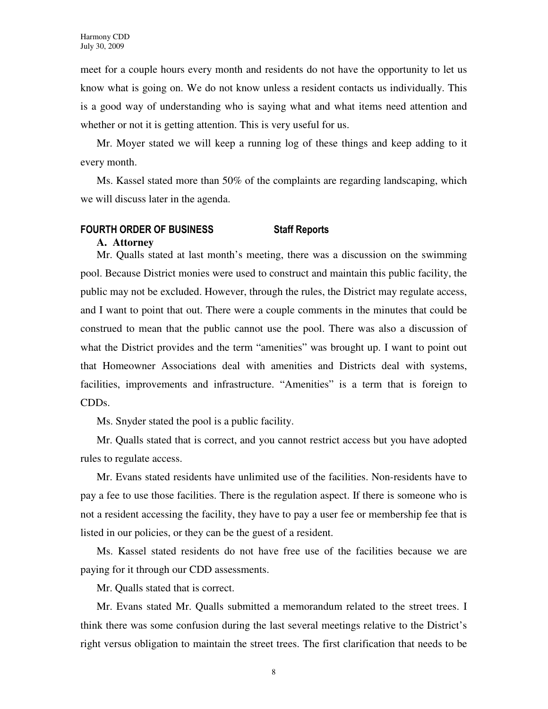meet for a couple hours every month and residents do not have the opportunity to let us know what is going on. We do not know unless a resident contacts us individually. This is a good way of understanding who is saying what and what items need attention and whether or not it is getting attention. This is very useful for us.

Mr. Moyer stated we will keep a running log of these things and keep adding to it every month.

Ms. Kassel stated more than 50% of the complaints are regarding landscaping, which we will discuss later in the agenda.

## FOURTH ORDER OF BUSINESS Staff Reports

### **A. Attorney**

Mr. Qualls stated at last month's meeting, there was a discussion on the swimming pool. Because District monies were used to construct and maintain this public facility, the public may not be excluded. However, through the rules, the District may regulate access, and I want to point that out. There were a couple comments in the minutes that could be construed to mean that the public cannot use the pool. There was also a discussion of what the District provides and the term "amenities" was brought up. I want to point out that Homeowner Associations deal with amenities and Districts deal with systems, facilities, improvements and infrastructure. "Amenities" is a term that is foreign to CDDs.

Ms. Snyder stated the pool is a public facility.

Mr. Qualls stated that is correct, and you cannot restrict access but you have adopted rules to regulate access.

Mr. Evans stated residents have unlimited use of the facilities. Non-residents have to pay a fee to use those facilities. There is the regulation aspect. If there is someone who is not a resident accessing the facility, they have to pay a user fee or membership fee that is listed in our policies, or they can be the guest of a resident.

Ms. Kassel stated residents do not have free use of the facilities because we are paying for it through our CDD assessments.

Mr. Qualls stated that is correct.

Mr. Evans stated Mr. Qualls submitted a memorandum related to the street trees. I think there was some confusion during the last several meetings relative to the District's right versus obligation to maintain the street trees. The first clarification that needs to be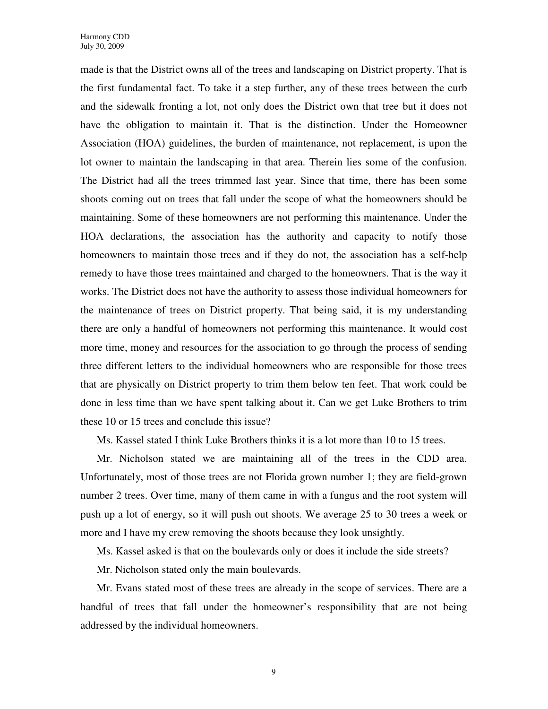made is that the District owns all of the trees and landscaping on District property. That is the first fundamental fact. To take it a step further, any of these trees between the curb and the sidewalk fronting a lot, not only does the District own that tree but it does not have the obligation to maintain it. That is the distinction. Under the Homeowner Association (HOA) guidelines, the burden of maintenance, not replacement, is upon the lot owner to maintain the landscaping in that area. Therein lies some of the confusion. The District had all the trees trimmed last year. Since that time, there has been some shoots coming out on trees that fall under the scope of what the homeowners should be maintaining. Some of these homeowners are not performing this maintenance. Under the HOA declarations, the association has the authority and capacity to notify those homeowners to maintain those trees and if they do not, the association has a self-help remedy to have those trees maintained and charged to the homeowners. That is the way it works. The District does not have the authority to assess those individual homeowners for the maintenance of trees on District property. That being said, it is my understanding there are only a handful of homeowners not performing this maintenance. It would cost more time, money and resources for the association to go through the process of sending three different letters to the individual homeowners who are responsible for those trees that are physically on District property to trim them below ten feet. That work could be done in less time than we have spent talking about it. Can we get Luke Brothers to trim these 10 or 15 trees and conclude this issue?

Ms. Kassel stated I think Luke Brothers thinks it is a lot more than 10 to 15 trees.

Mr. Nicholson stated we are maintaining all of the trees in the CDD area. Unfortunately, most of those trees are not Florida grown number 1; they are field-grown number 2 trees. Over time, many of them came in with a fungus and the root system will push up a lot of energy, so it will push out shoots. We average 25 to 30 trees a week or more and I have my crew removing the shoots because they look unsightly.

Ms. Kassel asked is that on the boulevards only or does it include the side streets?

Mr. Nicholson stated only the main boulevards.

Mr. Evans stated most of these trees are already in the scope of services. There are a handful of trees that fall under the homeowner's responsibility that are not being addressed by the individual homeowners.

9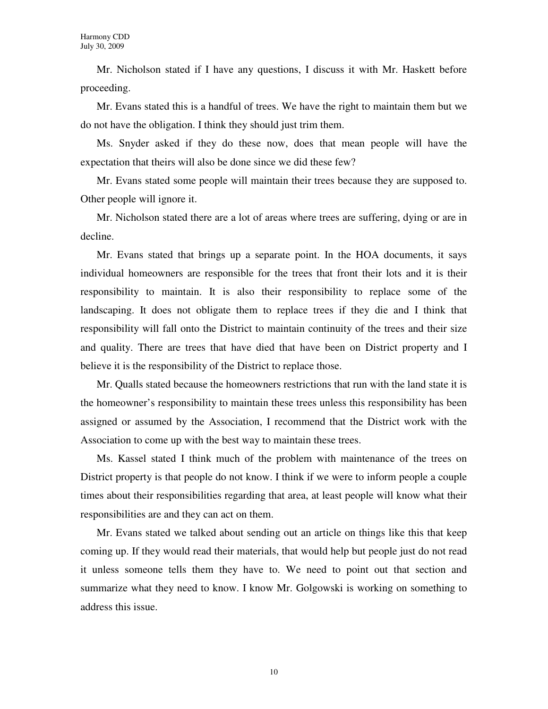Mr. Nicholson stated if I have any questions, I discuss it with Mr. Haskett before proceeding.

Mr. Evans stated this is a handful of trees. We have the right to maintain them but we do not have the obligation. I think they should just trim them.

Ms. Snyder asked if they do these now, does that mean people will have the expectation that theirs will also be done since we did these few?

Mr. Evans stated some people will maintain their trees because they are supposed to. Other people will ignore it.

Mr. Nicholson stated there are a lot of areas where trees are suffering, dying or are in decline.

Mr. Evans stated that brings up a separate point. In the HOA documents, it says individual homeowners are responsible for the trees that front their lots and it is their responsibility to maintain. It is also their responsibility to replace some of the landscaping. It does not obligate them to replace trees if they die and I think that responsibility will fall onto the District to maintain continuity of the trees and their size and quality. There are trees that have died that have been on District property and I believe it is the responsibility of the District to replace those.

Mr. Qualls stated because the homeowners restrictions that run with the land state it is the homeowner's responsibility to maintain these trees unless this responsibility has been assigned or assumed by the Association, I recommend that the District work with the Association to come up with the best way to maintain these trees.

Ms. Kassel stated I think much of the problem with maintenance of the trees on District property is that people do not know. I think if we were to inform people a couple times about their responsibilities regarding that area, at least people will know what their responsibilities are and they can act on them.

Mr. Evans stated we talked about sending out an article on things like this that keep coming up. If they would read their materials, that would help but people just do not read it unless someone tells them they have to. We need to point out that section and summarize what they need to know. I know Mr. Golgowski is working on something to address this issue.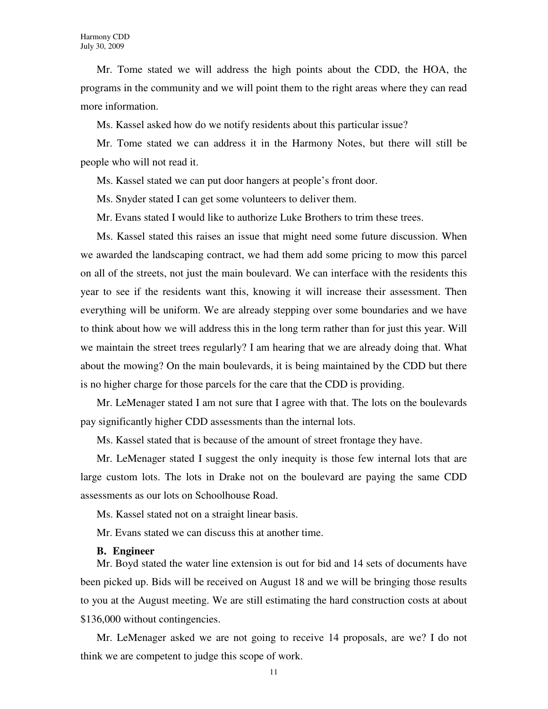Mr. Tome stated we will address the high points about the CDD, the HOA, the programs in the community and we will point them to the right areas where they can read more information.

Ms. Kassel asked how do we notify residents about this particular issue?

Mr. Tome stated we can address it in the Harmony Notes, but there will still be people who will not read it.

Ms. Kassel stated we can put door hangers at people's front door.

Ms. Snyder stated I can get some volunteers to deliver them.

Mr. Evans stated I would like to authorize Luke Brothers to trim these trees.

Ms. Kassel stated this raises an issue that might need some future discussion. When we awarded the landscaping contract, we had them add some pricing to mow this parcel on all of the streets, not just the main boulevard. We can interface with the residents this year to see if the residents want this, knowing it will increase their assessment. Then everything will be uniform. We are already stepping over some boundaries and we have to think about how we will address this in the long term rather than for just this year. Will we maintain the street trees regularly? I am hearing that we are already doing that. What about the mowing? On the main boulevards, it is being maintained by the CDD but there is no higher charge for those parcels for the care that the CDD is providing.

Mr. LeMenager stated I am not sure that I agree with that. The lots on the boulevards pay significantly higher CDD assessments than the internal lots.

Ms. Kassel stated that is because of the amount of street frontage they have.

Mr. LeMenager stated I suggest the only inequity is those few internal lots that are large custom lots. The lots in Drake not on the boulevard are paying the same CDD assessments as our lots on Schoolhouse Road.

Ms. Kassel stated not on a straight linear basis.

Mr. Evans stated we can discuss this at another time.

#### **B. Engineer**

Mr. Boyd stated the water line extension is out for bid and 14 sets of documents have been picked up. Bids will be received on August 18 and we will be bringing those results to you at the August meeting. We are still estimating the hard construction costs at about \$136,000 without contingencies.

Mr. LeMenager asked we are not going to receive 14 proposals, are we? I do not think we are competent to judge this scope of work.

11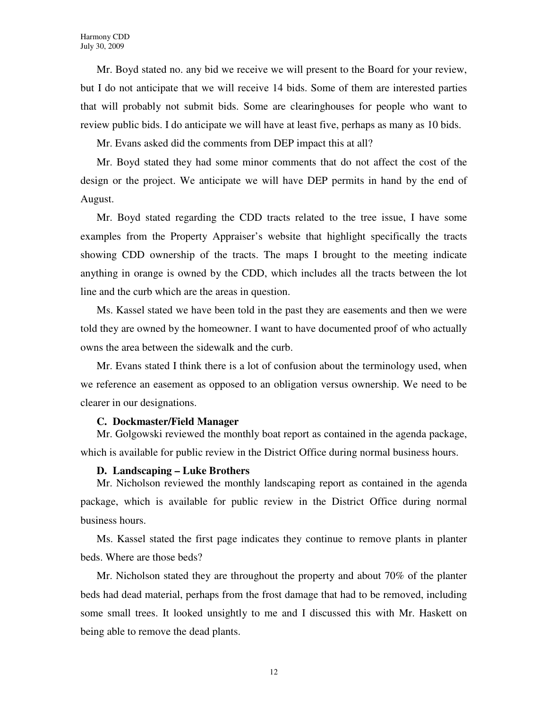Mr. Boyd stated no. any bid we receive we will present to the Board for your review, but I do not anticipate that we will receive 14 bids. Some of them are interested parties that will probably not submit bids. Some are clearinghouses for people who want to review public bids. I do anticipate we will have at least five, perhaps as many as 10 bids.

Mr. Evans asked did the comments from DEP impact this at all?

Mr. Boyd stated they had some minor comments that do not affect the cost of the design or the project. We anticipate we will have DEP permits in hand by the end of August.

Mr. Boyd stated regarding the CDD tracts related to the tree issue, I have some examples from the Property Appraiser's website that highlight specifically the tracts showing CDD ownership of the tracts. The maps I brought to the meeting indicate anything in orange is owned by the CDD, which includes all the tracts between the lot line and the curb which are the areas in question.

Ms. Kassel stated we have been told in the past they are easements and then we were told they are owned by the homeowner. I want to have documented proof of who actually owns the area between the sidewalk and the curb.

Mr. Evans stated I think there is a lot of confusion about the terminology used, when we reference an easement as opposed to an obligation versus ownership. We need to be clearer in our designations.

#### **C. Dockmaster/Field Manager**

Mr. Golgowski reviewed the monthly boat report as contained in the agenda package, which is available for public review in the District Office during normal business hours.

#### **D. Landscaping – Luke Brothers**

Mr. Nicholson reviewed the monthly landscaping report as contained in the agenda package, which is available for public review in the District Office during normal business hours.

Ms. Kassel stated the first page indicates they continue to remove plants in planter beds. Where are those beds?

Mr. Nicholson stated they are throughout the property and about 70% of the planter beds had dead material, perhaps from the frost damage that had to be removed, including some small trees. It looked unsightly to me and I discussed this with Mr. Haskett on being able to remove the dead plants.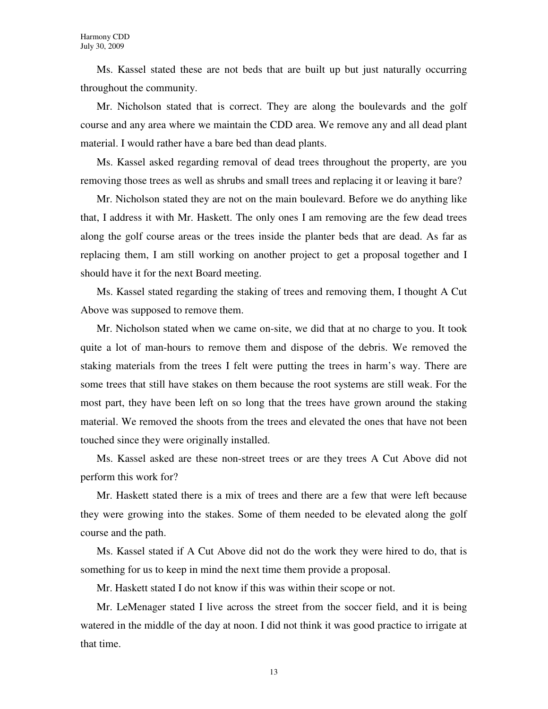Ms. Kassel stated these are not beds that are built up but just naturally occurring throughout the community.

Mr. Nicholson stated that is correct. They are along the boulevards and the golf course and any area where we maintain the CDD area. We remove any and all dead plant material. I would rather have a bare bed than dead plants.

Ms. Kassel asked regarding removal of dead trees throughout the property, are you removing those trees as well as shrubs and small trees and replacing it or leaving it bare?

Mr. Nicholson stated they are not on the main boulevard. Before we do anything like that, I address it with Mr. Haskett. The only ones I am removing are the few dead trees along the golf course areas or the trees inside the planter beds that are dead. As far as replacing them, I am still working on another project to get a proposal together and I should have it for the next Board meeting.

Ms. Kassel stated regarding the staking of trees and removing them, I thought A Cut Above was supposed to remove them.

Mr. Nicholson stated when we came on-site, we did that at no charge to you. It took quite a lot of man-hours to remove them and dispose of the debris. We removed the staking materials from the trees I felt were putting the trees in harm's way. There are some trees that still have stakes on them because the root systems are still weak. For the most part, they have been left on so long that the trees have grown around the staking material. We removed the shoots from the trees and elevated the ones that have not been touched since they were originally installed.

Ms. Kassel asked are these non-street trees or are they trees A Cut Above did not perform this work for?

Mr. Haskett stated there is a mix of trees and there are a few that were left because they were growing into the stakes. Some of them needed to be elevated along the golf course and the path.

Ms. Kassel stated if A Cut Above did not do the work they were hired to do, that is something for us to keep in mind the next time them provide a proposal.

Mr. Haskett stated I do not know if this was within their scope or not.

Mr. LeMenager stated I live across the street from the soccer field, and it is being watered in the middle of the day at noon. I did not think it was good practice to irrigate at that time.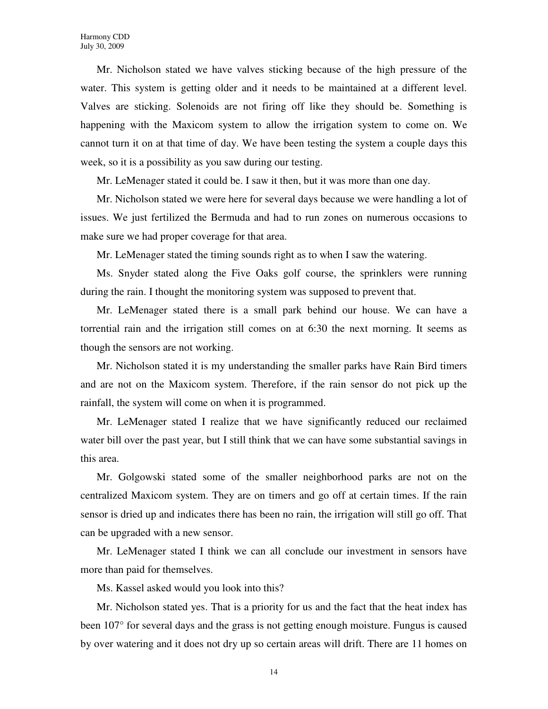Mr. Nicholson stated we have valves sticking because of the high pressure of the water. This system is getting older and it needs to be maintained at a different level. Valves are sticking. Solenoids are not firing off like they should be. Something is happening with the Maxicom system to allow the irrigation system to come on. We cannot turn it on at that time of day. We have been testing the system a couple days this week, so it is a possibility as you saw during our testing.

Mr. LeMenager stated it could be. I saw it then, but it was more than one day.

Mr. Nicholson stated we were here for several days because we were handling a lot of issues. We just fertilized the Bermuda and had to run zones on numerous occasions to make sure we had proper coverage for that area.

Mr. LeMenager stated the timing sounds right as to when I saw the watering.

Ms. Snyder stated along the Five Oaks golf course, the sprinklers were running during the rain. I thought the monitoring system was supposed to prevent that.

Mr. LeMenager stated there is a small park behind our house. We can have a torrential rain and the irrigation still comes on at 6:30 the next morning. It seems as though the sensors are not working.

Mr. Nicholson stated it is my understanding the smaller parks have Rain Bird timers and are not on the Maxicom system. Therefore, if the rain sensor do not pick up the rainfall, the system will come on when it is programmed.

Mr. LeMenager stated I realize that we have significantly reduced our reclaimed water bill over the past year, but I still think that we can have some substantial savings in this area.

Mr. Golgowski stated some of the smaller neighborhood parks are not on the centralized Maxicom system. They are on timers and go off at certain times. If the rain sensor is dried up and indicates there has been no rain, the irrigation will still go off. That can be upgraded with a new sensor.

Mr. LeMenager stated I think we can all conclude our investment in sensors have more than paid for themselves.

Ms. Kassel asked would you look into this?

Mr. Nicholson stated yes. That is a priority for us and the fact that the heat index has been 107° for several days and the grass is not getting enough moisture. Fungus is caused by over watering and it does not dry up so certain areas will drift. There are 11 homes on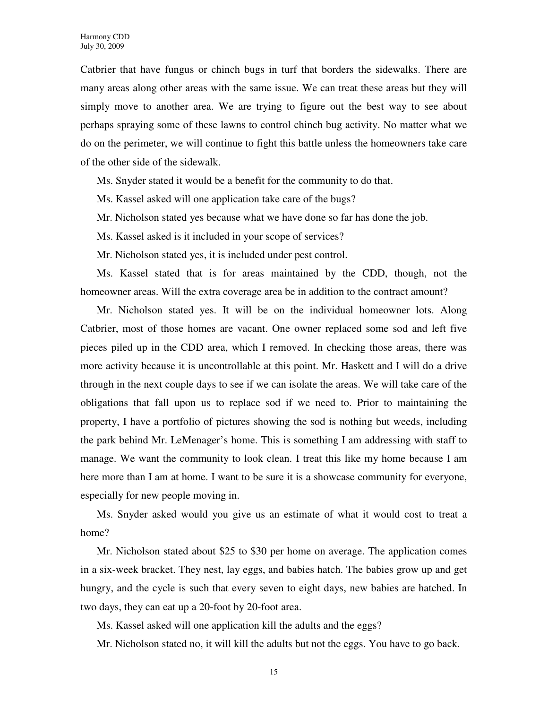Catbrier that have fungus or chinch bugs in turf that borders the sidewalks. There are many areas along other areas with the same issue. We can treat these areas but they will simply move to another area. We are trying to figure out the best way to see about perhaps spraying some of these lawns to control chinch bug activity. No matter what we do on the perimeter, we will continue to fight this battle unless the homeowners take care of the other side of the sidewalk.

Ms. Snyder stated it would be a benefit for the community to do that.

Ms. Kassel asked will one application take care of the bugs?

Mr. Nicholson stated yes because what we have done so far has done the job.

Ms. Kassel asked is it included in your scope of services?

Mr. Nicholson stated yes, it is included under pest control.

Ms. Kassel stated that is for areas maintained by the CDD, though, not the homeowner areas. Will the extra coverage area be in addition to the contract amount?

Mr. Nicholson stated yes. It will be on the individual homeowner lots. Along Catbrier, most of those homes are vacant. One owner replaced some sod and left five pieces piled up in the CDD area, which I removed. In checking those areas, there was more activity because it is uncontrollable at this point. Mr. Haskett and I will do a drive through in the next couple days to see if we can isolate the areas. We will take care of the obligations that fall upon us to replace sod if we need to. Prior to maintaining the property, I have a portfolio of pictures showing the sod is nothing but weeds, including the park behind Mr. LeMenager's home. This is something I am addressing with staff to manage. We want the community to look clean. I treat this like my home because I am here more than I am at home. I want to be sure it is a showcase community for everyone, especially for new people moving in.

Ms. Snyder asked would you give us an estimate of what it would cost to treat a home?

Mr. Nicholson stated about \$25 to \$30 per home on average. The application comes in a six-week bracket. They nest, lay eggs, and babies hatch. The babies grow up and get hungry, and the cycle is such that every seven to eight days, new babies are hatched. In two days, they can eat up a 20-foot by 20-foot area.

Ms. Kassel asked will one application kill the adults and the eggs?

Mr. Nicholson stated no, it will kill the adults but not the eggs. You have to go back.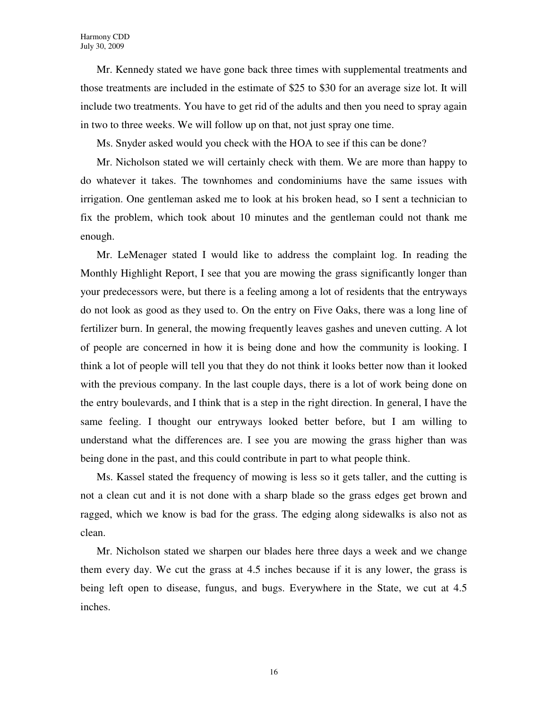Mr. Kennedy stated we have gone back three times with supplemental treatments and those treatments are included in the estimate of \$25 to \$30 for an average size lot. It will include two treatments. You have to get rid of the adults and then you need to spray again in two to three weeks. We will follow up on that, not just spray one time.

Ms. Snyder asked would you check with the HOA to see if this can be done?

Mr. Nicholson stated we will certainly check with them. We are more than happy to do whatever it takes. The townhomes and condominiums have the same issues with irrigation. One gentleman asked me to look at his broken head, so I sent a technician to fix the problem, which took about 10 minutes and the gentleman could not thank me enough.

Mr. LeMenager stated I would like to address the complaint log. In reading the Monthly Highlight Report, I see that you are mowing the grass significantly longer than your predecessors were, but there is a feeling among a lot of residents that the entryways do not look as good as they used to. On the entry on Five Oaks, there was a long line of fertilizer burn. In general, the mowing frequently leaves gashes and uneven cutting. A lot of people are concerned in how it is being done and how the community is looking. I think a lot of people will tell you that they do not think it looks better now than it looked with the previous company. In the last couple days, there is a lot of work being done on the entry boulevards, and I think that is a step in the right direction. In general, I have the same feeling. I thought our entryways looked better before, but I am willing to understand what the differences are. I see you are mowing the grass higher than was being done in the past, and this could contribute in part to what people think.

Ms. Kassel stated the frequency of mowing is less so it gets taller, and the cutting is not a clean cut and it is not done with a sharp blade so the grass edges get brown and ragged, which we know is bad for the grass. The edging along sidewalks is also not as clean.

Mr. Nicholson stated we sharpen our blades here three days a week and we change them every day. We cut the grass at 4.5 inches because if it is any lower, the grass is being left open to disease, fungus, and bugs. Everywhere in the State, we cut at 4.5 inches.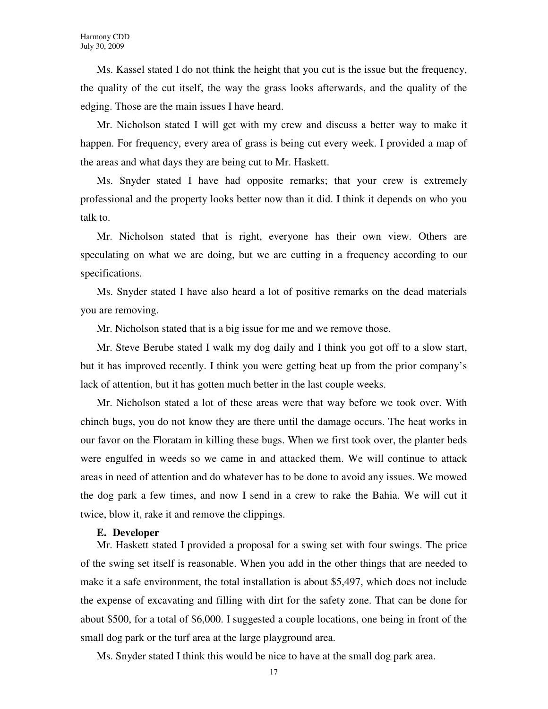Ms. Kassel stated I do not think the height that you cut is the issue but the frequency, the quality of the cut itself, the way the grass looks afterwards, and the quality of the edging. Those are the main issues I have heard.

Mr. Nicholson stated I will get with my crew and discuss a better way to make it happen. For frequency, every area of grass is being cut every week. I provided a map of the areas and what days they are being cut to Mr. Haskett.

Ms. Snyder stated I have had opposite remarks; that your crew is extremely professional and the property looks better now than it did. I think it depends on who you talk to.

Mr. Nicholson stated that is right, everyone has their own view. Others are speculating on what we are doing, but we are cutting in a frequency according to our specifications.

Ms. Snyder stated I have also heard a lot of positive remarks on the dead materials you are removing.

Mr. Nicholson stated that is a big issue for me and we remove those.

Mr. Steve Berube stated I walk my dog daily and I think you got off to a slow start, but it has improved recently. I think you were getting beat up from the prior company's lack of attention, but it has gotten much better in the last couple weeks.

Mr. Nicholson stated a lot of these areas were that way before we took over. With chinch bugs, you do not know they are there until the damage occurs. The heat works in our favor on the Floratam in killing these bugs. When we first took over, the planter beds were engulfed in weeds so we came in and attacked them. We will continue to attack areas in need of attention and do whatever has to be done to avoid any issues. We mowed the dog park a few times, and now I send in a crew to rake the Bahia. We will cut it twice, blow it, rake it and remove the clippings.

#### **E. Developer**

Mr. Haskett stated I provided a proposal for a swing set with four swings. The price of the swing set itself is reasonable. When you add in the other things that are needed to make it a safe environment, the total installation is about \$5,497, which does not include the expense of excavating and filling with dirt for the safety zone. That can be done for about \$500, for a total of \$6,000. I suggested a couple locations, one being in front of the small dog park or the turf area at the large playground area.

Ms. Snyder stated I think this would be nice to have at the small dog park area.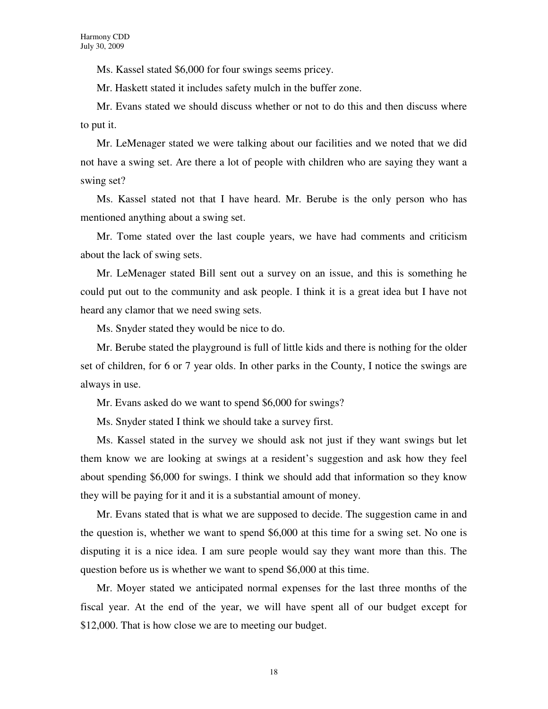Ms. Kassel stated \$6,000 for four swings seems pricey.

Mr. Haskett stated it includes safety mulch in the buffer zone.

Mr. Evans stated we should discuss whether or not to do this and then discuss where to put it.

Mr. LeMenager stated we were talking about our facilities and we noted that we did not have a swing set. Are there a lot of people with children who are saying they want a swing set?

Ms. Kassel stated not that I have heard. Mr. Berube is the only person who has mentioned anything about a swing set.

Mr. Tome stated over the last couple years, we have had comments and criticism about the lack of swing sets.

Mr. LeMenager stated Bill sent out a survey on an issue, and this is something he could put out to the community and ask people. I think it is a great idea but I have not heard any clamor that we need swing sets.

Ms. Snyder stated they would be nice to do.

Mr. Berube stated the playground is full of little kids and there is nothing for the older set of children, for 6 or 7 year olds. In other parks in the County, I notice the swings are always in use.

Mr. Evans asked do we want to spend \$6,000 for swings?

Ms. Snyder stated I think we should take a survey first.

Ms. Kassel stated in the survey we should ask not just if they want swings but let them know we are looking at swings at a resident's suggestion and ask how they feel about spending \$6,000 for swings. I think we should add that information so they know they will be paying for it and it is a substantial amount of money.

Mr. Evans stated that is what we are supposed to decide. The suggestion came in and the question is, whether we want to spend \$6,000 at this time for a swing set. No one is disputing it is a nice idea. I am sure people would say they want more than this. The question before us is whether we want to spend \$6,000 at this time.

Mr. Moyer stated we anticipated normal expenses for the last three months of the fiscal year. At the end of the year, we will have spent all of our budget except for \$12,000. That is how close we are to meeting our budget.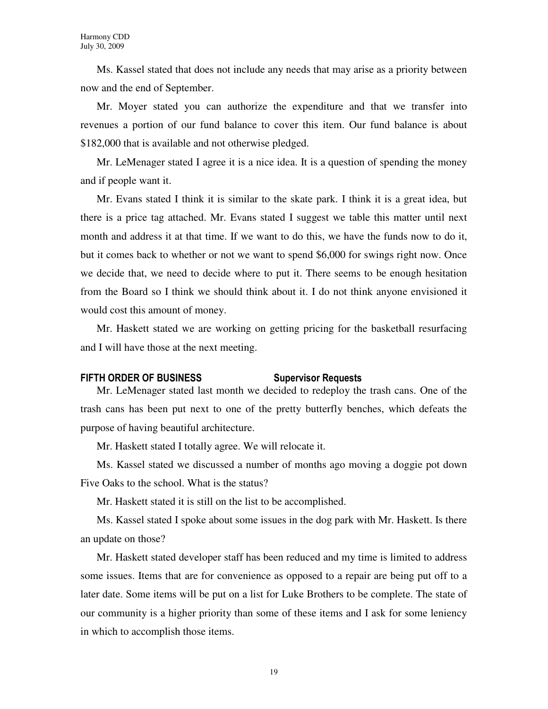Ms. Kassel stated that does not include any needs that may arise as a priority between now and the end of September.

Mr. Moyer stated you can authorize the expenditure and that we transfer into revenues a portion of our fund balance to cover this item. Our fund balance is about \$182,000 that is available and not otherwise pledged.

Mr. LeMenager stated I agree it is a nice idea. It is a question of spending the money and if people want it.

Mr. Evans stated I think it is similar to the skate park. I think it is a great idea, but there is a price tag attached. Mr. Evans stated I suggest we table this matter until next month and address it at that time. If we want to do this, we have the funds now to do it, but it comes back to whether or not we want to spend \$6,000 for swings right now. Once we decide that, we need to decide where to put it. There seems to be enough hesitation from the Board so I think we should think about it. I do not think anyone envisioned it would cost this amount of money.

Mr. Haskett stated we are working on getting pricing for the basketball resurfacing and I will have those at the next meeting.

#### FIFTH ORDER OF BUSINESS Supervisor Requests

Mr. LeMenager stated last month we decided to redeploy the trash cans. One of the trash cans has been put next to one of the pretty butterfly benches, which defeats the purpose of having beautiful architecture.

Mr. Haskett stated I totally agree. We will relocate it.

Ms. Kassel stated we discussed a number of months ago moving a doggie pot down Five Oaks to the school. What is the status?

Mr. Haskett stated it is still on the list to be accomplished.

Ms. Kassel stated I spoke about some issues in the dog park with Mr. Haskett. Is there an update on those?

Mr. Haskett stated developer staff has been reduced and my time is limited to address some issues. Items that are for convenience as opposed to a repair are being put off to a later date. Some items will be put on a list for Luke Brothers to be complete. The state of our community is a higher priority than some of these items and I ask for some leniency in which to accomplish those items.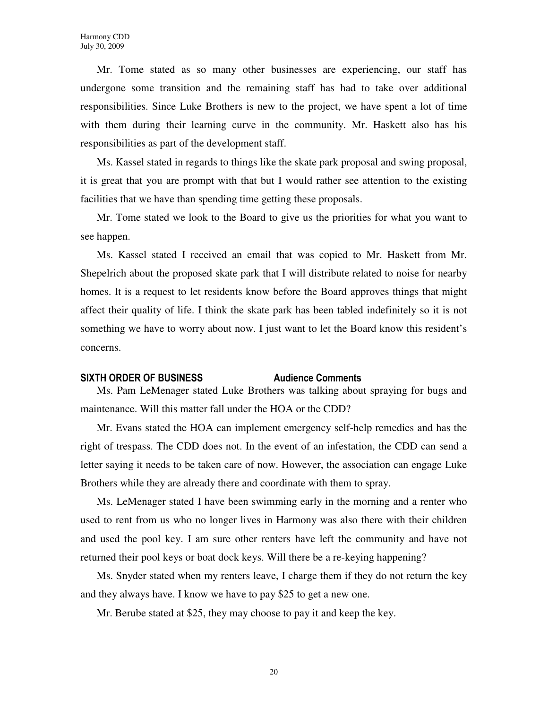Mr. Tome stated as so many other businesses are experiencing, our staff has undergone some transition and the remaining staff has had to take over additional responsibilities. Since Luke Brothers is new to the project, we have spent a lot of time with them during their learning curve in the community. Mr. Haskett also has his responsibilities as part of the development staff.

Ms. Kassel stated in regards to things like the skate park proposal and swing proposal, it is great that you are prompt with that but I would rather see attention to the existing facilities that we have than spending time getting these proposals.

Mr. Tome stated we look to the Board to give us the priorities for what you want to see happen.

Ms. Kassel stated I received an email that was copied to Mr. Haskett from Mr. Shepelrich about the proposed skate park that I will distribute related to noise for nearby homes. It is a request to let residents know before the Board approves things that might affect their quality of life. I think the skate park has been tabled indefinitely so it is not something we have to worry about now. I just want to let the Board know this resident's concerns.

### SIXTH ORDER OF BUSINESS Audience Comments

Ms. Pam LeMenager stated Luke Brothers was talking about spraying for bugs and maintenance. Will this matter fall under the HOA or the CDD?

Mr. Evans stated the HOA can implement emergency self-help remedies and has the right of trespass. The CDD does not. In the event of an infestation, the CDD can send a letter saying it needs to be taken care of now. However, the association can engage Luke Brothers while they are already there and coordinate with them to spray.

Ms. LeMenager stated I have been swimming early in the morning and a renter who used to rent from us who no longer lives in Harmony was also there with their children and used the pool key. I am sure other renters have left the community and have not returned their pool keys or boat dock keys. Will there be a re-keying happening?

Ms. Snyder stated when my renters leave, I charge them if they do not return the key and they always have. I know we have to pay \$25 to get a new one.

Mr. Berube stated at \$25, they may choose to pay it and keep the key.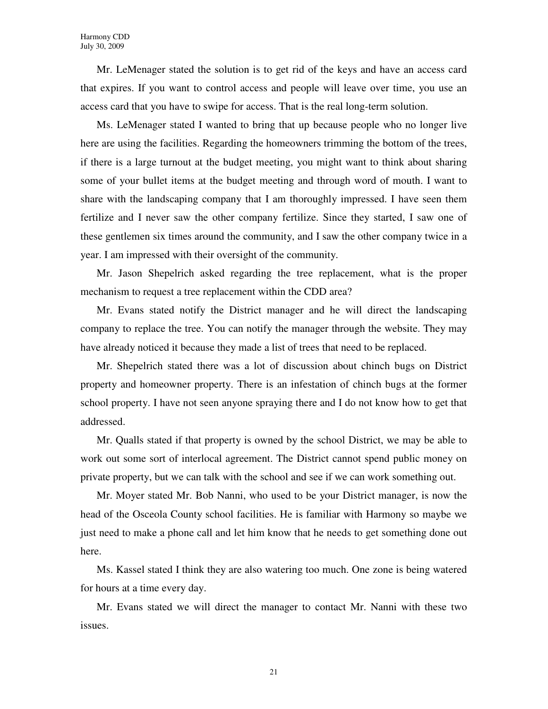Mr. LeMenager stated the solution is to get rid of the keys and have an access card that expires. If you want to control access and people will leave over time, you use an access card that you have to swipe for access. That is the real long-term solution.

Ms. LeMenager stated I wanted to bring that up because people who no longer live here are using the facilities. Regarding the homeowners trimming the bottom of the trees, if there is a large turnout at the budget meeting, you might want to think about sharing some of your bullet items at the budget meeting and through word of mouth. I want to share with the landscaping company that I am thoroughly impressed. I have seen them fertilize and I never saw the other company fertilize. Since they started, I saw one of these gentlemen six times around the community, and I saw the other company twice in a year. I am impressed with their oversight of the community.

Mr. Jason Shepelrich asked regarding the tree replacement, what is the proper mechanism to request a tree replacement within the CDD area?

Mr. Evans stated notify the District manager and he will direct the landscaping company to replace the tree. You can notify the manager through the website. They may have already noticed it because they made a list of trees that need to be replaced.

Mr. Shepelrich stated there was a lot of discussion about chinch bugs on District property and homeowner property. There is an infestation of chinch bugs at the former school property. I have not seen anyone spraying there and I do not know how to get that addressed.

Mr. Qualls stated if that property is owned by the school District, we may be able to work out some sort of interlocal agreement. The District cannot spend public money on private property, but we can talk with the school and see if we can work something out.

Mr. Moyer stated Mr. Bob Nanni, who used to be your District manager, is now the head of the Osceola County school facilities. He is familiar with Harmony so maybe we just need to make a phone call and let him know that he needs to get something done out here.

Ms. Kassel stated I think they are also watering too much. One zone is being watered for hours at a time every day.

Mr. Evans stated we will direct the manager to contact Mr. Nanni with these two issues.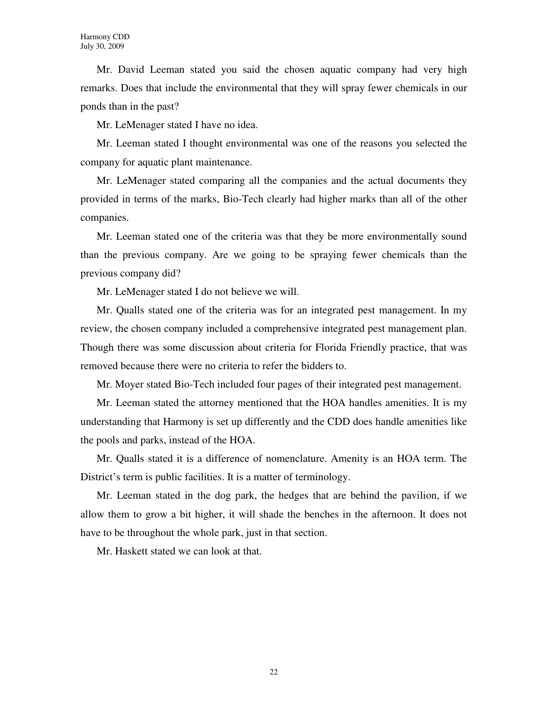Mr. David Leeman stated you said the chosen aquatic company had very high remarks. Does that include the environmental that they will spray fewer chemicals in our ponds than in the past?

Mr. LeMenager stated I have no idea.

Mr. Leeman stated I thought environmental was one of the reasons you selected the company for aquatic plant maintenance.

Mr. LeMenager stated comparing all the companies and the actual documents they provided in terms of the marks, Bio-Tech clearly had higher marks than all of the other companies.

Mr. Leeman stated one of the criteria was that they be more environmentally sound than the previous company. Are we going to be spraying fewer chemicals than the previous company did?

Mr. LeMenager stated I do not believe we will.

Mr. Qualls stated one of the criteria was for an integrated pest management. In my review, the chosen company included a comprehensive integrated pest management plan. Though there was some discussion about criteria for Florida Friendly practice, that was removed because there were no criteria to refer the bidders to.

Mr. Moyer stated Bio-Tech included four pages of their integrated pest management.

Mr. Leeman stated the attorney mentioned that the HOA handles amenities. It is my understanding that Harmony is set up differently and the CDD does handle amenities like the pools and parks, instead of the HOA.

Mr. Qualls stated it is a difference of nomenclature. Amenity is an HOA term. The District's term is public facilities. It is a matter of terminology.

Mr. Leeman stated in the dog park, the hedges that are behind the pavilion, if we allow them to grow a bit higher, it will shade the benches in the afternoon. It does not have to be throughout the whole park, just in that section.

Mr. Haskett stated we can look at that.